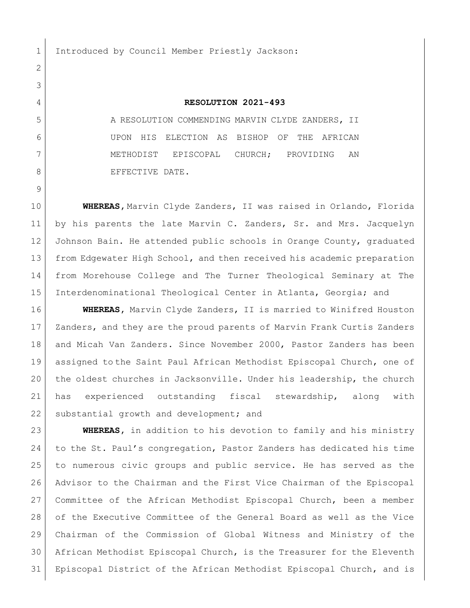1 Introduced by Council Member Priestly Jackson:

## **RESOLUTION 2021-493**

5 A RESOLUTION COMMENDING MARVIN CLYDE ZANDERS, II UPON HIS ELECTION AS BISHOP OF THE AFRICAN METHODIST EPISCOPAL CHURCH; PROVIDING AN 8 BEFECTIVE DATE.

 **WHEREAS,** Marvin Clyde Zanders, II was raised in Orlando, Florida by his parents the late Marvin C. Zanders, Sr. and Mrs. Jacquelyn Johnson Bain. He attended public schools in Orange County, graduated from Edgewater High School, and then received his academic preparation from Morehouse College and The Turner Theological Seminary at The Interdenominational Theological Center in Atlanta, Georgia; and

 **WHEREAS,** Marvin Clyde Zanders, II is married to Winifred Houston 17 | Zanders, and they are the proud parents of Marvin Frank Curtis Zanders 18 and Micah Van Zanders. Since November 2000, Pastor Zanders has been assigned to the Saint Paul African Methodist Episcopal Church, one of the oldest churches in Jacksonville. Under his leadership, the church has experienced outstanding fiscal stewardship, along with 22 substantial growth and development; and

 **WHEREAS,** in addition to his devotion to family and his ministry to the St. Paul's congregation, Pastor Zanders has dedicated his time to numerous civic groups and public service. He has served as the Advisor to the Chairman and the First Vice Chairman of the Episcopal Committee of the African Methodist Episcopal Church, been a member of the Executive Committee of the General Board as well as the Vice Chairman of the Commission of Global Witness and Ministry of the African Methodist Episcopal Church, is the Treasurer for the Eleventh Episcopal District of the African Methodist Episcopal Church, and is